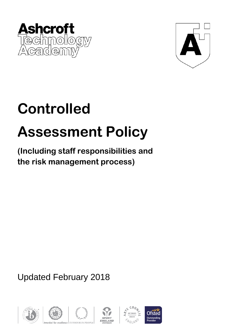



## **Controlled**

# **Assessment Policy**

**(Including staff responsibilities and the risk management process)** 

Updated February 2018









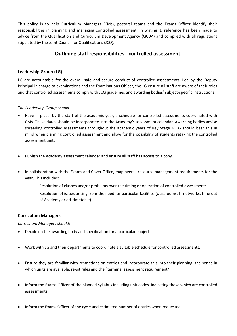This policy is to help Curriculum Managers (CMs), pastoral teams and the Exams Officer identify their responsibilities in planning and managing controlled assessment. In writing it, reference has been made to advice from the Qualification and Curriculum Development Agency (QCDA) and complied with all regulations stipulated by the Joint Council for Qualifications (JCQ).

## **Outlining staff responsibilities - controlled assessment**

### **Leadership Group (LG)**

LG are accountable for the overall safe and secure conduct of controlled assessments. Led by the Deputy Principal in charge of examinations and the Examinations Officer, the LG ensure all staff are aware of their roles and that controlled assessments comply with JCQ guidelines and awarding bodies' subject-specific instructions.

#### *The Leadership Group should:*

- Have in place, by the start of the academic year, a schedule for controlled assessments coordinated with CMs. These dates should be incorporated into the Academy's assessment calendar. Awarding bodies advise spreading controlled assessments throughout the academic years of Key Stage 4. LG should bear this in mind when planning controlled assessment and allow for the possibility of students retaking the controlled assessment unit.
- Publish the Academy assessment calendar and ensure all staff has access to a copy.
- In collaboration with the Exams and Cover Office, map overall resource management requirements for the year. This includes:
	- Resolution of clashes and/or problems over the timing or operation of controlled assessments.
	- Resolution of issues arising from the need for particular facilities (classrooms, IT networks, time out of Academy or off-timetable)

#### **Curriculum Managers**

*Curriculum Managers should:*

- Decide on the awarding body and specification for a particular subject.
- Work with LG and their departments to coordinate a suitable schedule for controlled assessments.
- Ensure they are familiar with restrictions on entries and incorporate this into their planning: the series in which units are available, re-sit rules and the "terminal assessment requirement".
- Inform the Exams Officer of the planned syllabus including unit codes, indicating those which are controlled assessments.
- Inform the Exams Officer of the cycle and estimated number of entries when requested.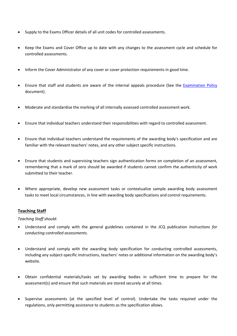- Supply to the Exams Officer details of all unit codes for controlled assessments.
- Keep the Exams and Cover Office up to date with any changes to the assessment cycle and schedule for controlled assessments.
- Inform the Cover Administrator of any cover or cover protection requirements in good time.
- Ensure that staff and students are aware of the internal appeals procedure (See the [Examination Policy](http://outpost/staff/policies/pdf/Examinations%20(inc%20appeals).pdf) document).
- Moderate and standardise the marking of all internally assessed controlled assessment work.
- Ensure that individual teachers understand their responsibilities with regard to controlled assessment.
- Ensure that individual teachers understand the requirements of the awarding body's specification and are familiar with the relevant teachers' notes, and any other subject specific instructions.
- Ensure that students and supervising teachers sign authentication forms on completion of an assessment, remembering that a mark of zero should be awarded if students cannot confirm the authenticity of work submitted to their teacher.
- Where appropriate, develop new assessment tasks or contextualize sample awarding body assessment tasks to meet local circumstances, in line with awarding body specifications and control requirements.

#### **Teaching Staff**

*Teaching Staff should:*

- Understand and comply with the general guidelines contained in the JCQ publication *Instructions for conducting controlled assessments*.
- Understand and comply with the awarding body specification for conducting controlled assessments, including any subject-specific instructions, teachers' notes or additional information on the awarding body's website.
- Obtain confidential materials/tasks set by awarding bodies in sufficient time to prepare for the assessment(s) and ensure that such materials are stored securely at all times.
- Supervise assessments (at the specified level of control). Undertake the tasks required under the regulations, only permitting assistance to students as the specification allows.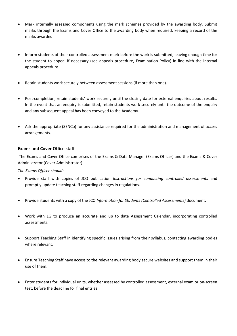- Mark internally assessed components using the mark schemes provided by the awarding body. Submit marks through the Exams and Cover Office to the awarding body when required, keeping a record of the marks awarded.
- Inform students of their controlled assessment mark before the work is submitted, leaving enough time for the student to appeal if necessary (see appeals procedure, Examination Policy) in line with the internal appeals procedure.
- Retain students work securely between assessment sessions (if more than one).
- Post-completion, retain students' work securely until the closing date for external enquiries about results. In the event that an enquiry is submitted, retain students work securely until the outcome of the enquiry and any subsequent appeal has been conveyed to the Academy.
- Ask the appropriate (SENCo) for any assistance required for the administration and management of access arrangements.

#### **Exams and Cover Office staff**

The Exams and Cover Office comprises of the Exams & Data Manager (Exams Officer) and the Exams & Cover Administrator (Cover Administrator)

*The Exams Officer should:*

- Provide staff with copies of JCQ publication *Instructions for conducting controlled assessments* and promptly update teaching staff regarding changes in regulations.
- Provide students with a copy of the JCQ *Information for Students (Controlled Assessments)* document.
- Work with LG to produce an accurate and up to date Assessment Calendar, incorporating controlled assessments.
- Support Teaching Staff in identifying specific issues arising from their syllabus, contacting awarding bodies where relevant.
- Ensure Teaching Staff have access to the relevant awarding body secure websites and support them in their use of them.
- Enter students for individual units, whether assessed by controlled assessment, external exam or on-screen test, before the deadline for final entries.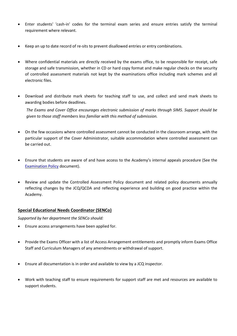- Enter students' 'cash-in' codes for the terminal exam series and ensure entries satisfy the terminal requirement where relevant.
- Keep an up to date record of re-sits to prevent disallowed entries or entry combinations.
- Where confidential materials are directly received by the exams office, to be responsible for receipt, safe storage and safe transmission, whether in CD or hard copy format and make regular checks on the security of controlled assessment materials not kept by the examinations office including mark schemes and all electronic files.
- Download and distribute mark sheets for teaching staff to use, and collect and send mark sheets to awarding bodies before deadlines.

*The Exams and Cover Office encourages electronic submission of marks through SIMS. Support should be given to those staff members less familiar with this method of submission.*

- On the few occasions where controlled assessment cannot be conducted in the classroom arrange, with the particular support of the Cover Administrator, suitable accommodation where controlled assessment can be carried out.
- Ensure that students are aware of and have access to the Academy's internal appeals procedure (See the [Examination Policy](http://outpost/staff/policies/pdf/Examinations%20(inc%20appeals).pdf) document).
- Review and update the Controlled Assessment Policy document and related policy documents annually reflecting changes by the JCQ/QCDA and reflecting experience and building on good practice within the Academy.

#### **Special Educational Needs Coordinator (SENCo)**

*Supported by her department the SENCo should:*

- Ensure access arrangements have been applied for.
- Provide the Exams Officer with a list of Access Arrangement entitlements and promptly inform Exams Office Staff and Curriculum Managers of any amendments or withdrawal of support.
- Ensure all documentation is in order and available to view by a JCQ inspector.
- Work with teaching staff to ensure requirements for support staff are met and resources are available to support students.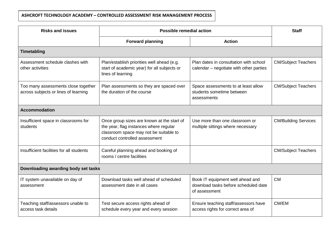## **ASHCROFT TECHNOLOGY ACADEMY – CONTROLLED ASSESSMENT RISK MANAGEMENT PROCESS**

| <b>Risks and issues</b>                                                     | <b>Possible remedial action</b>                                                                                                                                 |                                                                                           | <b>Staff</b>                |
|-----------------------------------------------------------------------------|-----------------------------------------------------------------------------------------------------------------------------------------------------------------|-------------------------------------------------------------------------------------------|-----------------------------|
|                                                                             | <b>Forward planning</b>                                                                                                                                         | <b>Action</b>                                                                             |                             |
| <b>Timetabling</b>                                                          |                                                                                                                                                                 |                                                                                           |                             |
| Assessment schedule clashes with<br>other activities                        | Plan/establish priorities well ahead (e.g.<br>start of academic year) for all subjects or<br>lines of learning                                                  | Plan dates in consultation with school<br>calendar – negotiate with other parties         | <b>CM/Subject Teachers</b>  |
| Too many assessments close together<br>across subjects or lines of learning | Plan assessments so they are spaced over<br>the duration of the course                                                                                          | Space assessments to at least allow<br>students sometime between<br>assessments           | <b>CM/Subject Teachers</b>  |
| <b>Accommodation</b>                                                        |                                                                                                                                                                 |                                                                                           |                             |
| Insufficient space in classrooms for<br>students                            | Once group sizes are known at the start of<br>the year, flag instances where regular<br>classroom space may not be suitable to<br>conduct controlled assessment | Use more than one classroom or<br>multiple sittings where necessary                       | <b>CM/Building Services</b> |
| Insufficient facilities for all students                                    | Careful planning ahead and booking of<br>rooms / centre facilities                                                                                              |                                                                                           | <b>CM/Subject Teachers</b>  |
| Downloading awarding body set tasks                                         |                                                                                                                                                                 |                                                                                           |                             |
| IT system unavailable on day of<br>assessment                               | Download tasks well ahead of scheduled<br>assessment date in all cases                                                                                          | Book IT equipment well ahead and<br>download tasks before scheduled date<br>of assessment | <b>CM</b>                   |
| Teaching staff/assessors unable to<br>access task details                   | Test secure access rights ahead of<br>schedule every year and every session                                                                                     | Ensure teaching staff/assessors have<br>access rights for correct area of                 | CM/EM                       |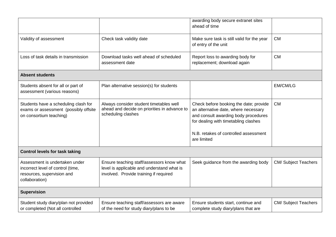|                                                                                                                     |                                                                                                                                   | awarding body secure extranet sites<br>ahead of time                                                                                                                                                                   |                             |
|---------------------------------------------------------------------------------------------------------------------|-----------------------------------------------------------------------------------------------------------------------------------|------------------------------------------------------------------------------------------------------------------------------------------------------------------------------------------------------------------------|-----------------------------|
| Validity of assessment                                                                                              | Check task validity date                                                                                                          | Make sure task is still valid for the year<br>of entry of the unit                                                                                                                                                     | <b>CM</b>                   |
| Loss of task details in transmission                                                                                | Download tasks well ahead of scheduled<br>assessment date                                                                         | Report loss to awarding body for<br>replacement; download again                                                                                                                                                        | <b>CM</b>                   |
| <b>Absent students</b>                                                                                              |                                                                                                                                   |                                                                                                                                                                                                                        |                             |
| Students absent for all or part of<br>assessment (various reasons)                                                  | Plan alternative session(s) for students                                                                                          |                                                                                                                                                                                                                        | EM/CM/LG                    |
| Students have a scheduling clash for<br>exams or assessment (possibly offsite<br>on consortium teaching)            | Always consider student timetables well<br>ahead and decide on priorities in advance to<br>scheduling clashes                     | Check before booking the date; provide<br>an alternative date, where necessary<br>and consult awarding body procedures<br>for dealing with timetabling clashes<br>N.B. retakes of controlled assessment<br>are limited | <b>CM</b>                   |
| <b>Control levels for task taking</b>                                                                               |                                                                                                                                   |                                                                                                                                                                                                                        |                             |
| Assessment is undertaken under<br>incorrect level of control (time,<br>resources, supervision and<br>collaboration) | Ensure teaching staff/assessors know what<br>level is applicable and understand what is<br>involved. Provide training if required | Seek guidance from the awarding body                                                                                                                                                                                   | <b>CM/ Subject Teachers</b> |
| <b>Supervision</b>                                                                                                  |                                                                                                                                   |                                                                                                                                                                                                                        |                             |
| Student study diary/plan not provided<br>or completed (Not all controlled                                           | Ensure teaching staff/assessors are aware<br>of the need for study diary/plans to be                                              | Ensure students start, continue and<br>complete study diary/plans that are                                                                                                                                             | <b>CM/ Subject Teachers</b> |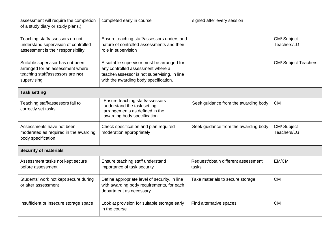| assessment will require the completion<br>of a study diary or study plans.)                                             | completed early in course                                                                                                                                                | signed after every session                   |                             |
|-------------------------------------------------------------------------------------------------------------------------|--------------------------------------------------------------------------------------------------------------------------------------------------------------------------|----------------------------------------------|-----------------------------|
| Teaching staff/assessors do not<br>understand supervision of controlled<br>assessment is their responsibility           | Ensure teaching staff/assessors understand<br>nature of controlled assessments and their<br>role in supervision                                                          |                                              | CM/Subject<br>Teachers/LG   |
| Suitable supervisor has not been<br>arranged for an assessment where<br>teaching staff/assessors are not<br>supervising | A suitable supervisor must be arranged for<br>any controlled assessment where a<br>teacher/assessor is not supervising, in line<br>with the awarding body specification. |                                              | <b>CM/ Subject Teachers</b> |
| <b>Task setting</b>                                                                                                     |                                                                                                                                                                          |                                              |                             |
| Teaching staff/assessors fail to<br>correctly set tasks                                                                 | Ensure teaching staff/assessors<br>understand the task setting<br>arrangements as defined in the<br>awarding body specification.                                         | Seek guidance from the awarding body         | <b>CM</b>                   |
| Assessments have not been<br>moderated as required in the awarding<br>body specification                                | Check specification and plan required<br>moderation appropriately                                                                                                        | Seek guidance from the awarding body         | CM/Subject<br>Teachers/LG   |
| <b>Security of materials</b>                                                                                            |                                                                                                                                                                          |                                              |                             |
| Assessment tasks not kept secure<br>before assessment                                                                   | Ensure teaching staff understand<br>importance of task security                                                                                                          | Request/obtain different assessment<br>tasks | EM/CM                       |
| Students' work not kept secure during<br>or after assessment                                                            | Define appropriate level of security, in line<br>with awarding body requirements, for each<br>department as necessary                                                    | Take materials to secure storage             | <b>CM</b>                   |
| Insufficient or insecure storage space                                                                                  | Look at provision for suitable storage early<br>in the course                                                                                                            | Find alternative spaces                      | <b>CM</b>                   |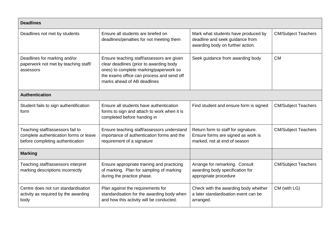| <b>Deadlines</b>                                                                                               |                                                                                                                                                                                                            |                                                                                                            |                            |
|----------------------------------------------------------------------------------------------------------------|------------------------------------------------------------------------------------------------------------------------------------------------------------------------------------------------------------|------------------------------------------------------------------------------------------------------------|----------------------------|
| Deadlines not met by students                                                                                  | Ensure all students are briefed on<br>deadlines/penalties for not meeting them                                                                                                                             | Mark what students have produced by<br>deadline and seek guidance from<br>awarding body on further action. | <b>CM/Subject Teachers</b> |
| Deadlines for marking and/or<br>paperwork not met by teaching staff/<br>assessors                              | Ensure teaching staff/assessors are given<br>clear deadlines (prior to awarding body<br>ones) to complete marking/paperwork so<br>the exams office can process and send off<br>marks ahead of AB deadlines | Seek guidance from awarding body                                                                           | <b>CM</b>                  |
| <b>Authentication</b>                                                                                          |                                                                                                                                                                                                            |                                                                                                            |                            |
| Student fails to sign authentification<br>form                                                                 | Ensure all students have authentication<br>forms to sign and attach to work when it is<br>completed before handing in                                                                                      | Find student and ensure form is signed                                                                     | <b>CM/Subject Teachers</b> |
| Teaching staff/assessors fail to<br>complete authentication forms or leave<br>before completing authentication | Ensure teaching staff/assessors understand<br>importance of authentication forms and the<br>requirement of a signature                                                                                     | Return form to staff for signature.<br>Ensure forms are signed as work is<br>marked, not at end of season  | <b>CM/Subject Teachers</b> |
| <b>Marking</b>                                                                                                 |                                                                                                                                                                                                            |                                                                                                            |                            |
| Teaching staff/assessors interpret<br>marking descriptions incorrectly                                         | Ensure appropriate training and practicing<br>of marking. Plan for sampling of marking<br>during the practice phase.                                                                                       | Arrange for remarking. Consult<br>awarding body specification for<br>appropriate procedure                 | <b>CM/Subject Teachers</b> |
| Centre does not run standardisation<br>activity as required by the awarding<br>body                            | Plan against the requirements for<br>standardisation for the awarding body when<br>and how this activity will be conducted.                                                                                | Check with the awarding body whether<br>a later standardisation event can be<br>arranged.                  | CM (with LG)               |